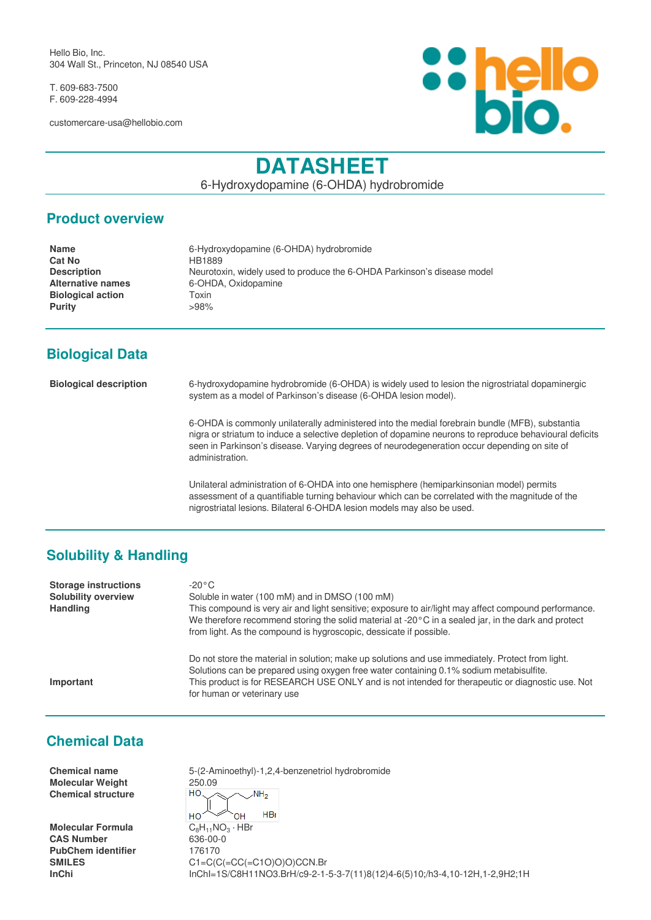Hello Bio, Inc. 304 Wall St., Princeton, NJ 08540 USA

T. 609-683-7500 F. 609-228-4994

customercare-usa@hellobio.com



# **DATASHEET**

6-Hydroxydopamine (6-OHDA) hydrobromide

#### **Product overview**

| <b>Name</b>              | 6-Hydroxydopamine (6-OHDA) hydrobromide                                 |
|--------------------------|-------------------------------------------------------------------------|
| <b>Cat No</b>            | HB1889                                                                  |
| <b>Description</b>       | Neurotoxin, widely used to produce the 6-OHDA Parkinson's disease model |
| <b>Alternative names</b> | 6-OHDA, Oxidopamine                                                     |
| <b>Biological action</b> | Toxin                                                                   |
| <b>Purity</b>            | >98%                                                                    |
|                          |                                                                         |

## **Biological Data**

**Biological description** 6-hydroxydopamine hydrobromide (6-OHDA) is widely used to lesion the nigrostriatal dopaminergic system as a model of Parkinson's disease (6-OHDA lesion model).

> 6-OHDA is commonly unilaterally administered into the medial forebrain bundle (MFB), substantia nigra or striatum to induce a selective depletion of dopamine neurons to reproduce behavioural deficits seen in Parkinson's disease. Varying degrees of neurodegeneration occur depending on site of administration.

Unilateral administration of 6-OHDA into one hemisphere (hemiparkinsonian model) permits assessment of a quantifiable turning behaviour which can be correlated with the magnitude of the nigrostriatal lesions. Bilateral 6-OHDA lesion models may also be used.

## **Solubility & Handling**

| <b>Storage instructions</b><br><b>Solubility overview</b><br><b>Handling</b> | $-20\degree$ C<br>Soluble in water (100 mM) and in DMSO (100 mM)<br>This compound is very air and light sensitive; exposure to air/light may affect compound performance.<br>We therefore recommend storing the solid material at -20 $\degree$ C in a sealed jar, in the dark and protect<br>from light. As the compound is hygroscopic, dessicate if possible. |
|------------------------------------------------------------------------------|------------------------------------------------------------------------------------------------------------------------------------------------------------------------------------------------------------------------------------------------------------------------------------------------------------------------------------------------------------------|
| Important                                                                    | Do not store the material in solution; make up solutions and use immediately. Protect from light.<br>Solutions can be prepared using oxygen free water containing 0.1% sodium metabisulfite.<br>This product is for RESEARCH USE ONLY and is not intended for therapeutic or diagnostic use. Not<br>for human or veterinary use                                  |

## **Chemical Data**

**Molecular Weight** 250.09 **Chemical structure**

**Molecular Formula**<br>CAS Number PubChem identifier 176170

**Chemical name** 5-(2-Aminoethyl)-1,2,4-benzenetriol hydrobromide HO  $NH<sub>2</sub>$  $HRr$ HO OH  $C_8H_{11}NO_3 \cdot HBr$ **CAS Number** 636-00-0 **SMILES** C1=C(C(=CC(=C1O)O)O)CCN.Br **InChi** InChI=1S/C8H11NO3.BrH/c9-2-1-5-3-7(11)8(12)4-6(5)10;/h3-4,10-12H,1-2,9H2;1H